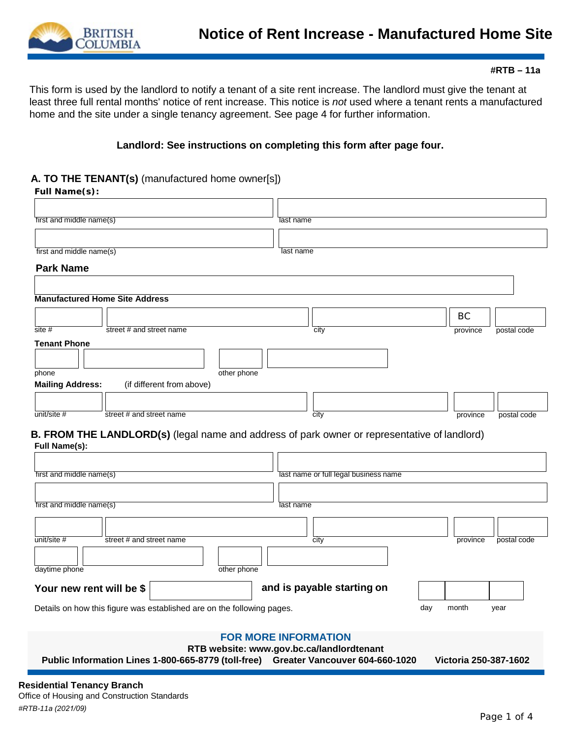

This form is used by the landlord to notify a tenant of a site rent increase. The landlord must give the tenant at least three full rental months' notice of rent increase. This notice is *not* used where a tenant rents a manufactured home and the site under a single tenancy agreement. See page 4 for further information.

## **Landlord: See instructions on completing this form after page four.**

#### **A. TO THE TENANT(s)** (manufactured home owner[s])

**Full Name(s):**

| .                                     |                          |                           |             |           |                                                                                              |          |             |
|---------------------------------------|--------------------------|---------------------------|-------------|-----------|----------------------------------------------------------------------------------------------|----------|-------------|
|                                       |                          |                           |             |           |                                                                                              |          |             |
| first and middle name(s)              |                          |                           |             | last name |                                                                                              |          |             |
|                                       |                          |                           |             |           |                                                                                              |          |             |
| first and middle name(s)              |                          |                           |             | last name |                                                                                              |          |             |
| <b>Park Name</b>                      |                          |                           |             |           |                                                                                              |          |             |
|                                       |                          |                           |             |           |                                                                                              |          |             |
|                                       |                          |                           |             |           |                                                                                              |          |             |
| <b>Manufactured Home Site Address</b> |                          |                           |             |           |                                                                                              |          |             |
|                                       |                          |                           |             |           |                                                                                              | BC       |             |
| site#                                 | street # and street name |                           |             |           | city                                                                                         | province | postal code |
| <b>Tenant Phone</b>                   |                          |                           |             |           |                                                                                              |          |             |
|                                       |                          |                           |             |           |                                                                                              |          |             |
| phone                                 |                          |                           | other phone |           |                                                                                              |          |             |
| <b>Mailing Address:</b>               |                          | (if different from above) |             |           |                                                                                              |          |             |
|                                       |                          |                           |             |           |                                                                                              |          |             |
| $unit/site$ #                         | street # and street name |                           |             |           | city                                                                                         | province | postal code |
|                                       |                          |                           |             |           |                                                                                              |          |             |
|                                       |                          |                           |             |           | B. FROM THE LANDLORD(s) (legal name and address of park owner or representative of landlord) |          |             |
| <b>Full Name(s):</b>                  |                          |                           |             |           |                                                                                              |          |             |
|                                       |                          |                           |             |           |                                                                                              |          |             |
| first and middle name(s)              |                          |                           |             |           | last name or full legal business name                                                        |          |             |
|                                       |                          |                           |             |           |                                                                                              |          |             |
| first and middle name(s)              |                          |                           |             | last name |                                                                                              |          |             |
|                                       |                          |                           |             |           |                                                                                              |          |             |
| unit/site #                           | street # and street name |                           |             |           | city                                                                                         | province | postal code |
|                                       |                          |                           |             |           |                                                                                              |          |             |
| daytime phone                         |                          |                           | other phone |           |                                                                                              |          |             |
|                                       |                          |                           |             |           |                                                                                              |          |             |
| Your new rent will be \$              |                          |                           |             |           | and is payable starting on                                                                   |          |             |
|                                       |                          |                           |             |           |                                                                                              |          |             |

## **FOR MORE INFORMATION**

Details on how this figure was established are on the following pages. The month was month year

**RTB [website: www.gov.bc.ca/landlordtenant](http://www.gov.bc.ca/landlordtenant)**

**Public Information Lines 1-800-665-8779 (toll-free) Greater Vancouver 604-660-1020 Victoria 250-387-1602**

**Residential Tenancy Branch** Office of Housing and Construction Standards *#RTB-11a (2021/09)*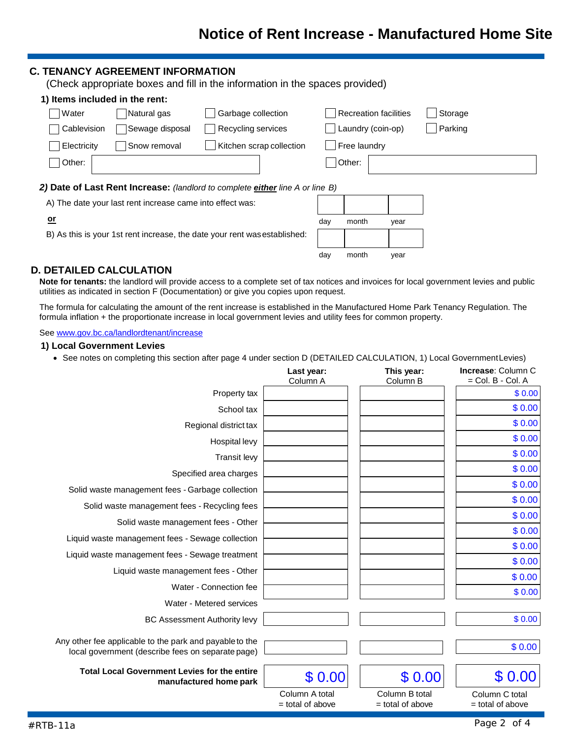## **C. TENANCY AGREEMENT INFORMATION**

(Check appropriate boxes and fill in the information in the spaces provided)

| 1) Items included in the rent: |                 |                                                                               |                       |         |
|--------------------------------|-----------------|-------------------------------------------------------------------------------|-----------------------|---------|
| Water                          | Natural gas     | Garbage collection                                                            | Recreation facilities | Storage |
| Cablevision                    | Sewage disposal | Recycling services                                                            | Laundry (coin-op)     | Parking |
| Electricity                    | Snow removal    | Kitchen scrap collection                                                      | Free laundry          |         |
| Other:                         |                 |                                                                               | Other:                |         |
|                                |                 | 2) Date of Last Rent Increase: (landlord to complete either line A or line B) |                       |         |

A) The date your last rent increase came into effect was:

| ne B) |       |      |
|-------|-------|------|
|       |       |      |
| day   | month | year |
|       |       |      |
| day   | month | year |

## B) As this is your 1st rent increase, the date your rent wasestablished:

## **D. DETAILED CALCULATION**

**or**

**Note for tenants:** the landlord will provide access to a complete set of tax notices and invoices for local government levies and public utilities as indicated in section F (Documentation) or give you copies upon request.

The formula for calculating the amount of the rent increase is established in the Manufactured Home Park Tenancy Regulation. The formula inflation + the proportionate increase in local government levies and utility fees for common property.

#### See [www.gov.bc.ca/landlordtenant/increase](http://www.gov.bc.ca/landlordtenant/increase)

#### **1) Local Government Levies**

• See notes on completing this section after page 4 under section D (DETAILED CALCULATION, 1) Local GovernmentLevies)

|                                                                                                              | Last year:<br>Column A               | This year:<br>Column B               | <b>Increase: Column C</b><br>$=$ Col. B - Col. A |
|--------------------------------------------------------------------------------------------------------------|--------------------------------------|--------------------------------------|--------------------------------------------------|
| Property tax                                                                                                 |                                      |                                      | \$0.00                                           |
| School tax                                                                                                   |                                      |                                      | \$0.00                                           |
| Regional district tax                                                                                        |                                      |                                      | \$0.00                                           |
| Hospital levy                                                                                                |                                      |                                      | \$0.00                                           |
| <b>Transit levy</b>                                                                                          |                                      |                                      | \$0.00                                           |
| Specified area charges                                                                                       |                                      |                                      | \$0.00                                           |
| Solid waste management fees - Garbage collection                                                             |                                      |                                      | \$0.00                                           |
| Solid waste management fees - Recycling fees                                                                 |                                      |                                      | \$0.00                                           |
| Solid waste management fees - Other                                                                          |                                      |                                      | \$0.00                                           |
|                                                                                                              |                                      |                                      | \$0.00                                           |
| Liquid waste management fees - Sewage collection                                                             |                                      |                                      | \$0.00                                           |
| Liquid waste management fees - Sewage treatment                                                              |                                      |                                      | \$0.00                                           |
| Liquid waste management fees - Other                                                                         |                                      |                                      | \$0.00                                           |
| Water - Connection fee                                                                                       |                                      |                                      | \$0.00                                           |
| Water - Metered services                                                                                     |                                      |                                      |                                                  |
| <b>BC Assessment Authority levy</b>                                                                          |                                      |                                      | \$0.00                                           |
| Any other fee applicable to the park and payable to the<br>local government (describe fees on separate page) |                                      |                                      | \$0.00                                           |
| <b>Total Local Government Levies for the entire</b><br>manufactured home park                                | \$0.00                               | \$0.00                               | \$0.00                                           |
|                                                                                                              | Column A total<br>$=$ total of above | Column B total<br>$=$ total of above | Column C total<br>= total of above               |
| $#RTB-11a$                                                                                                   |                                      |                                      | Page 2 of 4                                      |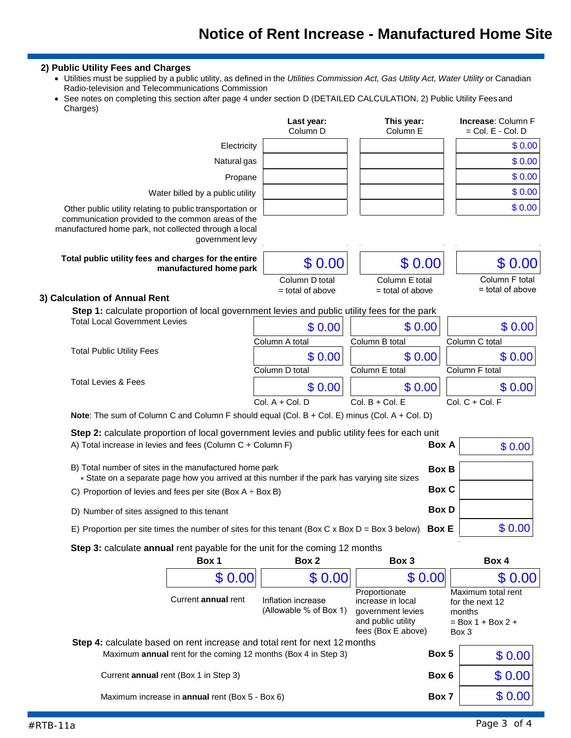# **Notice of Rent Increase - Manufactured Home Site**

## **2) Public Utility Fees and Charges**

- Utilities must be supplied by a public utility, as defined in the *Utilities Commission Act, Gas Utility Act, Water Utility* or Canadian Radio-television and Telecommunications Commission
- See notes on completing this section after page 4 under section D (DETAILED CALCULATION, 2) Public Utility Feesand Charges)

|                                                                                                                                                                                            | Last year:<br>Column <sub>D</sub>    | This year:<br>Column E             | <b>Increase: Column F</b><br>$=$ Col. $E -$ Col. D |
|--------------------------------------------------------------------------------------------------------------------------------------------------------------------------------------------|--------------------------------------|------------------------------------|----------------------------------------------------|
| Electricity                                                                                                                                                                                |                                      |                                    | \$0.00                                             |
| Natural gas                                                                                                                                                                                |                                      |                                    | \$0.00                                             |
| Propane                                                                                                                                                                                    |                                      |                                    | \$0.00                                             |
| Water billed by a public utility                                                                                                                                                           |                                      |                                    | \$0.00                                             |
| Other public utility relating to public transportation or<br>communication provided to the common areas of the<br>manufactured home park, not collected through a local<br>government levy |                                      |                                    | \$0.00                                             |
| Total public utility fees and charges for the entire<br>manufactured home park                                                                                                             | \$0.00                               | \$0.00                             | \$ 0.00                                            |
| 3) Calculation of Annual Rent                                                                                                                                                              | Column D total<br>$=$ total of above | Column E total<br>= total of above | Column F total<br>= total of above                 |
| Step 1: calculate proportion of local government levies and public utility fees for the park                                                                                               |                                      |                                    |                                                    |
| <b>Total Local Government Levies</b>                                                                                                                                                       | \$0.00                               | \$0.00                             | \$0.00                                             |
|                                                                                                                                                                                            | Column A total                       | Column B total                     | Column C total                                     |
| <b>Total Public Utility Fees</b>                                                                                                                                                           | \$0.00                               | \$0.00                             | \$0.00                                             |
|                                                                                                                                                                                            | Column D total                       | Column E total                     | Column F total                                     |
| <b>Total Levies &amp; Fees</b>                                                                                                                                                             | \$0.00                               | \$0.00                             | \$0.00                                             |
|                                                                                                                                                                                            | $Col. A + Col. D$                    | $Col. B + Col. E$                  | $Col. C + Col. F$                                  |
| Note: The sum of Column C and Column F should equal (Col. B + Col. E) minus (Col. A + Col. D)                                                                                              |                                      |                                    |                                                    |
| Step 2: calculate proportion of local government levies and public utility fees for each unit                                                                                              |                                      |                                    |                                                    |
| A) Total increase in levies and fees (Column C + Column F)                                                                                                                                 |                                      | Box A                              | \$0.00                                             |
| B) Total number of sites in the manufactured home park<br>* State on a separate page how you arrived at this number if the park has varying site sizes                                     |                                      | <b>Box B</b>                       |                                                    |
| C) Proportion of levies and fees per site (Box $A \div Box B$ )                                                                                                                            |                                      | <b>Box C</b>                       |                                                    |
| D) Number of sites assigned to this tenant                                                                                                                                                 |                                      | <b>Box D</b>                       |                                                    |
| E) Proportion per site times the number of sites for this tenant (Box C x Box D = Box 3 below)                                                                                             |                                      | <b>Box E</b>                       | \$0.00                                             |
| Step 3: calculate annual rent payable for the unit for the coming 12 months                                                                                                                |                                      |                                    |                                                    |
| Box 1                                                                                                                                                                                      | Box 2                                | Box 3                              | Box 4                                              |
| \$0.00                                                                                                                                                                                     | \$0.00                               | \$0.00                             | \$0.00                                             |

| \$0.00                                                         | \$0.00                                                                     | \$0.00                                                                                              | \$0.00                                                                          |
|----------------------------------------------------------------|----------------------------------------------------------------------------|-----------------------------------------------------------------------------------------------------|---------------------------------------------------------------------------------|
| Current annual rent                                            | Inflation increase<br>(Allowable % of Box 1)                               | Proportionate<br>increase in local<br>government levies<br>and public utility<br>fees (Box E above) | Maximum total rent<br>for the next 12<br>months<br>$= Box 1 + Box 2 +$<br>Box 3 |
|                                                                | Step 4: calculate based on rent increase and total rent for next 12 months |                                                                                                     |                                                                                 |
| Maximum annual rent for the coming 12 months (Box 4 in Step 3) |                                                                            | Box 5                                                                                               | \$0.00                                                                          |
| Current annual rent (Box 1 in Step 3)                          |                                                                            | Box 6                                                                                               | \$0.00                                                                          |
| Maximum increase in <b>annual</b> rent (Box 5 - Box 6)         |                                                                            | Box 7                                                                                               | \$0.00                                                                          |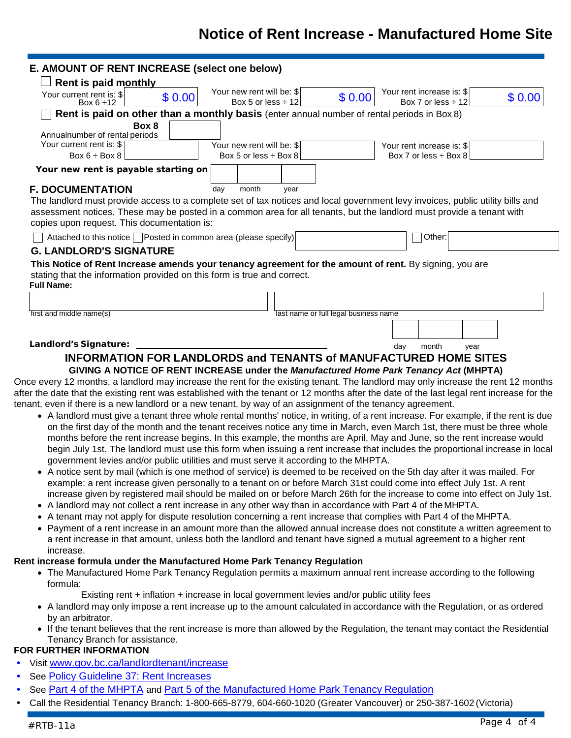# **Notice of Rent Increase - Manufactured Home Site**

| Rent is paid monthly                                                                                                                                                                                                                                                                                                                                                                                                                                                                                                                                                                                                                                                                                                                                                                                                                                                                                                                                                                                                                                                                                                                                                                                                                                                                                                                                                                                                                                                                                           |                                                                                            | E. AMOUNT OF RENT INCREASE (select one below)        |      |                                       |                                                                                             |      |        |
|----------------------------------------------------------------------------------------------------------------------------------------------------------------------------------------------------------------------------------------------------------------------------------------------------------------------------------------------------------------------------------------------------------------------------------------------------------------------------------------------------------------------------------------------------------------------------------------------------------------------------------------------------------------------------------------------------------------------------------------------------------------------------------------------------------------------------------------------------------------------------------------------------------------------------------------------------------------------------------------------------------------------------------------------------------------------------------------------------------------------------------------------------------------------------------------------------------------------------------------------------------------------------------------------------------------------------------------------------------------------------------------------------------------------------------------------------------------------------------------------------------------|--------------------------------------------------------------------------------------------|------------------------------------------------------|------|---------------------------------------|---------------------------------------------------------------------------------------------|------|--------|
|                                                                                                                                                                                                                                                                                                                                                                                                                                                                                                                                                                                                                                                                                                                                                                                                                                                                                                                                                                                                                                                                                                                                                                                                                                                                                                                                                                                                                                                                                                                |                                                                                            |                                                      |      |                                       |                                                                                             |      |        |
| Your current rent is: \$<br>Box $6 \div 12$                                                                                                                                                                                                                                                                                                                                                                                                                                                                                                                                                                                                                                                                                                                                                                                                                                                                                                                                                                                                                                                                                                                                                                                                                                                                                                                                                                                                                                                                    | \$0.00                                                                                     | Your new rent will be: \$<br>Box 5 or less $\div$ 12 |      | \$0.00                                | Your rent increase is: \$<br>Box 7 or less $\div$ 12                                        |      | \$0.00 |
|                                                                                                                                                                                                                                                                                                                                                                                                                                                                                                                                                                                                                                                                                                                                                                                                                                                                                                                                                                                                                                                                                                                                                                                                                                                                                                                                                                                                                                                                                                                |                                                                                            |                                                      |      |                                       | Rent is paid on other than a monthly basis (enter annual number of rental periods in Box 8) |      |        |
|                                                                                                                                                                                                                                                                                                                                                                                                                                                                                                                                                                                                                                                                                                                                                                                                                                                                                                                                                                                                                                                                                                                                                                                                                                                                                                                                                                                                                                                                                                                | Box 8                                                                                      |                                                      |      |                                       |                                                                                             |      |        |
| Annualnumber of rental periods<br>Your current rent is: \$                                                                                                                                                                                                                                                                                                                                                                                                                                                                                                                                                                                                                                                                                                                                                                                                                                                                                                                                                                                                                                                                                                                                                                                                                                                                                                                                                                                                                                                     |                                                                                            | Your new rent will be: \$                            |      |                                       | Your rent increase is: \$                                                                   |      |        |
| Box $6 \div$ Box 8                                                                                                                                                                                                                                                                                                                                                                                                                                                                                                                                                                                                                                                                                                                                                                                                                                                                                                                                                                                                                                                                                                                                                                                                                                                                                                                                                                                                                                                                                             |                                                                                            | Box 5 or less $\div$ Box 8                           |      |                                       | Box 7 or less $\div$ Box 8                                                                  |      |        |
| Your new rent is payable starting on                                                                                                                                                                                                                                                                                                                                                                                                                                                                                                                                                                                                                                                                                                                                                                                                                                                                                                                                                                                                                                                                                                                                                                                                                                                                                                                                                                                                                                                                           |                                                                                            |                                                      |      |                                       |                                                                                             |      |        |
| <b>F. DOCUMENTATION</b>                                                                                                                                                                                                                                                                                                                                                                                                                                                                                                                                                                                                                                                                                                                                                                                                                                                                                                                                                                                                                                                                                                                                                                                                                                                                                                                                                                                                                                                                                        |                                                                                            | month<br>day                                         | year |                                       |                                                                                             |      |        |
| The landlord must provide access to a complete set of tax notices and local government levy invoices, public utility bills and<br>assessment notices. These may be posted in a common area for all tenants, but the landlord must provide a tenant with<br>copies upon request. This documentation is:                                                                                                                                                                                                                                                                                                                                                                                                                                                                                                                                                                                                                                                                                                                                                                                                                                                                                                                                                                                                                                                                                                                                                                                                         |                                                                                            |                                                      |      |                                       |                                                                                             |      |        |
| Attached to this notice Posted in common area (please specify)                                                                                                                                                                                                                                                                                                                                                                                                                                                                                                                                                                                                                                                                                                                                                                                                                                                                                                                                                                                                                                                                                                                                                                                                                                                                                                                                                                                                                                                 |                                                                                            |                                                      |      |                                       | Other:                                                                                      |      |        |
| <b>G. LANDLORD'S SIGNATURE</b>                                                                                                                                                                                                                                                                                                                                                                                                                                                                                                                                                                                                                                                                                                                                                                                                                                                                                                                                                                                                                                                                                                                                                                                                                                                                                                                                                                                                                                                                                 |                                                                                            |                                                      |      |                                       |                                                                                             |      |        |
| This Notice of Rent Increase amends your tenancy agreement for the amount of rent. By signing, you are<br>stating that the information provided on this form is true and correct.<br><b>Full Name:</b>                                                                                                                                                                                                                                                                                                                                                                                                                                                                                                                                                                                                                                                                                                                                                                                                                                                                                                                                                                                                                                                                                                                                                                                                                                                                                                         |                                                                                            |                                                      |      |                                       |                                                                                             |      |        |
|                                                                                                                                                                                                                                                                                                                                                                                                                                                                                                                                                                                                                                                                                                                                                                                                                                                                                                                                                                                                                                                                                                                                                                                                                                                                                                                                                                                                                                                                                                                |                                                                                            |                                                      |      |                                       |                                                                                             |      |        |
| first and middle name(s)                                                                                                                                                                                                                                                                                                                                                                                                                                                                                                                                                                                                                                                                                                                                                                                                                                                                                                                                                                                                                                                                                                                                                                                                                                                                                                                                                                                                                                                                                       |                                                                                            |                                                      |      | last name or full legal business name |                                                                                             |      |        |
|                                                                                                                                                                                                                                                                                                                                                                                                                                                                                                                                                                                                                                                                                                                                                                                                                                                                                                                                                                                                                                                                                                                                                                                                                                                                                                                                                                                                                                                                                                                |                                                                                            |                                                      |      |                                       |                                                                                             |      |        |
| Landlord's Signature:                                                                                                                                                                                                                                                                                                                                                                                                                                                                                                                                                                                                                                                                                                                                                                                                                                                                                                                                                                                                                                                                                                                                                                                                                                                                                                                                                                                                                                                                                          |                                                                                            |                                                      |      |                                       | day<br>month                                                                                | year |        |
|                                                                                                                                                                                                                                                                                                                                                                                                                                                                                                                                                                                                                                                                                                                                                                                                                                                                                                                                                                                                                                                                                                                                                                                                                                                                                                                                                                                                                                                                                                                |                                                                                            |                                                      |      |                                       | GIVING A NOTICE OF RENT INCREASE under the Manufactured Home Park Tenancy Act (MHPTA)       |      |        |
| • A landlord must give a tenant three whole rental months' notice, in writing, of a rent increase. For example, if the rent is due<br>on the first day of the month and the tenant receives notice any time in March, even March 1st, there must be three whole<br>months before the rent increase begins. In this example, the months are April, May and June, so the rent increase would<br>begin July 1st. The landlord must use this form when issuing a rent increase that includes the proportional increase in local<br>government levies and/or public utilities and must serve it according to the MHPTA.<br>• A notice sent by mail (which is one method of service) is deemed to be received on the 5th day after it was mailed. For<br>example: a rent increase given personally to a tenant on or before March 31st could come into effect July 1st. A rent<br>increase given by registered mail should be mailed on or before March 26th for the increase to come into effect on July 1st.<br>• A landlord may not collect a rent increase in any other way than in accordance with Part 4 of the MHPTA.<br>• A tenant may not apply for dispute resolution concerning a rent increase that complies with Part 4 of the MHPTA.<br>• Payment of a rent increase in an amount more than the allowed annual increase does not constitute a written agreement to<br>a rent increase in that amount, unless both the landlord and tenant have signed a mutual agreement to a higher rent<br>increase. |                                                                                            |                                                      |      |                                       |                                                                                             |      |        |
|                                                                                                                                                                                                                                                                                                                                                                                                                                                                                                                                                                                                                                                                                                                                                                                                                                                                                                                                                                                                                                                                                                                                                                                                                                                                                                                                                                                                                                                                                                                |                                                                                            |                                                      |      |                                       |                                                                                             |      |        |
| • The Manufactured Home Park Tenancy Regulation permits a maximum annual rent increase according to the following<br>formula:                                                                                                                                                                                                                                                                                                                                                                                                                                                                                                                                                                                                                                                                                                                                                                                                                                                                                                                                                                                                                                                                                                                                                                                                                                                                                                                                                                                  |                                                                                            |                                                      |      |                                       |                                                                                             |      |        |
| Once every 12 months, a landlord may increase the rent for the existing tenant. The landlord may only increase the rent 12 months<br>after the date that the existing rent was established with the tenant or 12 months after the date of the last legal rent increase for the<br>tenant, even if there is a new landlord or a new tenant, by way of an assignment of the tenancy agreement.<br>Rent increase formula under the Manufactured Home Park Tenancy Regulation<br>• A landlord may only impose a rent increase up to the amount calculated in accordance with the Regulation, or as ordered<br>by an arbitrator.<br>• If the tenant believes that the rent increase is more than allowed by the Regulation, the tenant may contact the Residential                                                                                                                                                                                                                                                                                                                                                                                                                                                                                                                                                                                                                                                                                                                                                  | Existing rent + inflation + increase in local government levies and/or public utility fees |                                                      |      |                                       |                                                                                             |      |        |
| Tenancy Branch for assistance.<br>FOR FURTHER INFORMATION                                                                                                                                                                                                                                                                                                                                                                                                                                                                                                                                                                                                                                                                                                                                                                                                                                                                                                                                                                                                                                                                                                                                                                                                                                                                                                                                                                                                                                                      |                                                                                            |                                                      |      |                                       |                                                                                             |      |        |

- See [Policy Guideline 37: Rent](http://www2.gov.bc.ca/assets/gov/housing-and-tenancy/residential-tenancies/policy-guidelines/gl37.pdf) Increases
- See [Part 4 of the MHPTA](http://www.bclaws.ca/civix/document/id/complete/statreg/02077_01#part4) and [Part 5 of the Manufactured Home Park Tenancy](http://www.housing.gov.bc.ca/rtb/bc_laws/MHTR.html#part5) Regulation
- Call the Residential Tenancy Branch: 1-800-665-8779, 604-660-1020 (Greater Vancouver) or 250-387-1602 (Victoria)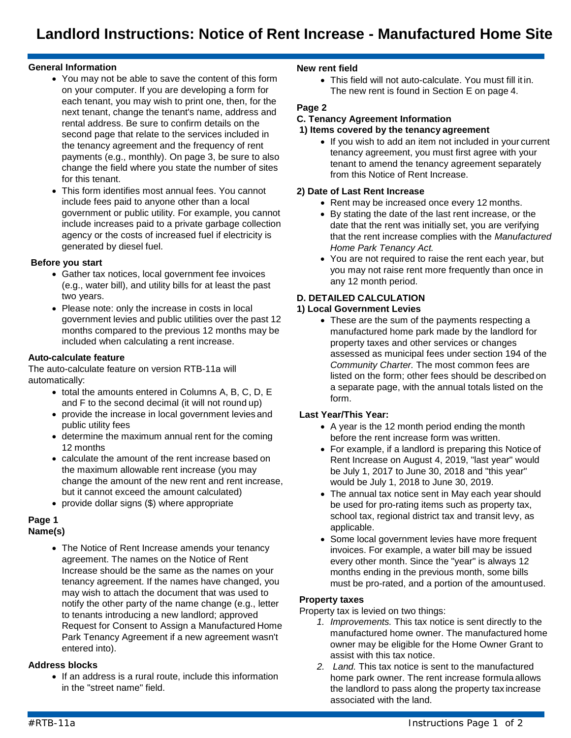## **General Information**

- You may not be able to save the content of this form on your computer. If you are developing a form for each tenant, you may wish to print one, then, for the next tenant, change the tenant's name, address and rental address. Be sure to confirm details on the second page that relate to the services included in the tenancy agreement and the frequency of rent payments (e.g., monthly). On page 3, be sure to also change the field where you state the number of sites for this tenant.
- This form identifies most annual fees. You cannot include fees paid to anyone other than a local government or public utility. For example, you cannot include increases paid to a private garbage collection agency or the costs of increased fuel if electricity is generated by diesel fuel.

## **Before you start**

- Gather tax notices, local government fee invoices (e.g., water bill), and utility bills for at least the past two years.
- Please note: only the increase in costs in local government levies and public utilities over the past 12 months compared to the previous 12 months may be included when calculating a rent increase.

## **Auto-calculate feature**

The auto-calculate feature on version RTB-11a will automatically:

- total the amounts entered in Columns A, B, C, D, E and F to the second decimal (it will not round up)
- provide the increase in local government levies and public utility fees
- determine the maximum annual rent for the coming 12 months
- calculate the amount of the rent increase based on the maximum allowable rent increase (you may change the amount of the new rent and rent increase, but it cannot exceed the amount calculated)
- provide dollar signs (\$) where appropriate

#### **Page 1 Name(s)**

• The Notice of Rent Increase amends your tenancy agreement. The names on the Notice of Rent Increase should be the same as the names on your tenancy agreement. If the names have changed, you may wish to attach the document that was used to notify the other party of the name change (e.g., letter to tenants introducing a new landlord; approved Request for Consent to Assign a Manufactured Home Park Tenancy Agreement if a new agreement wasn't entered into).

## **Address blocks**

• If an address is a rural route, include this information in the "street name" field.

## **New rent field**

• This field will not auto-calculate. You must fill it in. The new rent is found in Section E on page 4.

## **Page 2**

## **C. Tenancy Agreement Information**

#### **1) Items covered by the tenancy agreement**

• If you wish to add an item not included in your current tenancy agreement, you must first agree with your tenant to amend the tenancy agreement separately from this Notice of Rent Increase.

## **2) Date of Last Rent Increase**

- Rent may be increased once every 12 months.
- By stating the date of the last rent increase, or the date that the rent was initially set, you are verifying that the rent increase complies with the *Manufactured Home Park Tenancy Act.*
- You are not required to raise the rent each year, but you may not raise rent more frequently than once in any 12 month period.

## **D. DETAILED CALCULATION**

## **1) Local Government Levies**

• These are the sum of the payments respecting a manufactured home park made by the landlord for property taxes and other services or changes assessed as municipal fees under section 194 of the *Community Charter.* The most common fees are listed on the form; other fees should be described on a separate page, with the annual totals listed on the form.

## **Last Year/This Year:**

- A year is the 12 month period ending the month before the rent increase form was written.
- For example, if a landlord is preparing this Notice of Rent Increase on August 4, 2019, "last year" would be July 1, 2017 to June 30, 2018 and "this year" would be July 1, 2018 to June 30, 2019.
- The annual tax notice sent in May each year should be used for pro-rating items such as property tax, school tax, regional district tax and transit levy, as applicable.
- Some local government levies have more frequent invoices. For example, a water bill may be issued every other month. Since the "year" is always 12 months ending in the previous month, some bills must be pro-rated, and a portion of the amountused.

## **Property taxes**

Property tax is levied on two things:

- *1. Improvements.* This tax notice is sent directly to the manufactured home owner. The manufactured home owner may be eligible for the Home Owner Grant to assist with this tax notice.
- *2. Land.* This tax notice is sent to the manufactured home park owner. The rent increase formula allows the landlord to pass along the property tax increase associated with the land.